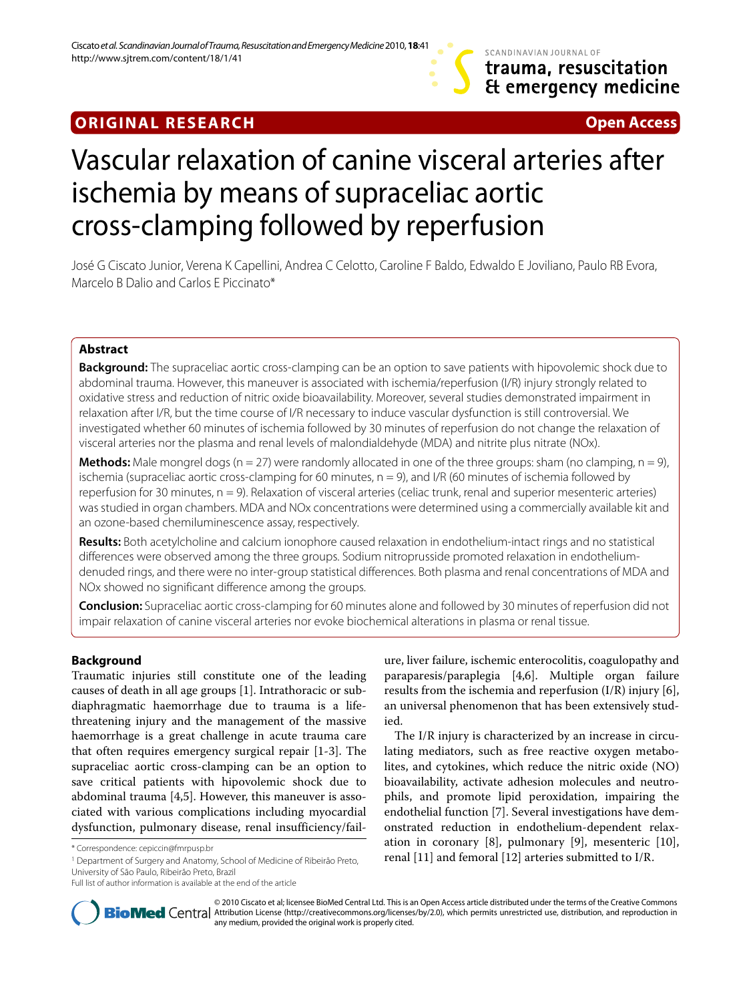# SCANDINAVIAN JOURNAL OF trauma, resuscitation Et emergency medicine

# **ORIGINAL RESEARCH Open Access**

# Vascular relaxation of canine visceral arteries after ischemia by means of supraceliac aortic cross-clamping followed by reperfusion

José G Ciscato Junior, Verena K Capellini, Andrea C Celotto, Caroline F Baldo, Edwaldo E Joviliano, Paulo RB Evora, Marcelo B Dalio and Carlos E Piccinato\*

# **Abstract**

**Background:** The supraceliac aortic cross-clamping can be an option to save patients with hipovolemic shock due to abdominal trauma. However, this maneuver is associated with ischemia/reperfusion (I/R) injury strongly related to oxidative stress and reduction of nitric oxide bioavailability. Moreover, several studies demonstrated impairment in relaxation after I/R, but the time course of I/R necessary to induce vascular dysfunction is still controversial. We investigated whether 60 minutes of ischemia followed by 30 minutes of reperfusion do not change the relaxation of visceral arteries nor the plasma and renal levels of malondialdehyde (MDA) and nitrite plus nitrate (NOx).

**Methods:** Male mongrel dogs (n = 27) were randomly allocated in one of the three groups: sham (no clamping, n = 9), ischemia (supraceliac aortic cross-clamping for 60 minutes,  $n = 9$ ), and I/R (60 minutes of ischemia followed by reperfusion for 30 minutes, n = 9). Relaxation of visceral arteries (celiac trunk, renal and superior mesenteric arteries) was studied in organ chambers. MDA and NOx concentrations were determined using a commercially available kit and an ozone-based chemiluminescence assay, respectively.

**Results:** Both acetylcholine and calcium ionophore caused relaxation in endothelium-intact rings and no statistical differences were observed among the three groups. Sodium nitroprusside promoted relaxation in endotheliumdenuded rings, and there were no inter-group statistical differences. Both plasma and renal concentrations of MDA and NOx showed no significant difference among the groups.

**Conclusion:** Supraceliac aortic cross-clamping for 60 minutes alone and followed by 30 minutes of reperfusion did not impair relaxation of canine visceral arteries nor evoke biochemical alterations in plasma or renal tissue.

# **Background**

Traumatic injuries still constitute one of the leading causes of death in all age groups [[1\]](#page-6-0). Intrathoracic or subdiaphragmatic haemorrhage due to trauma is a lifethreatening injury and the management of the massive haemorrhage is a great challenge in acute trauma care that often requires emergency surgical repair [\[1-](#page-6-0)[3](#page-6-1)]. The supraceliac aortic cross-clamping can be an option to save critical patients with hipovolemic shock due to abdominal trauma [[4](#page-6-2)[,5](#page-6-3)]. However, this maneuver is associated with various complications including myocardial dysfunction, pulmonary disease, renal insufficiency/fail-

1 Department of Surgery and Anatomy, School of Medicine of Ribeirão Preto, University of São Paulo, Ribeirão Preto, Brazil

ure, liver failure, ischemic enterocolitis, coagulopathy and paraparesis/paraplegia [\[4](#page-6-2)[,6](#page-6-4)]. Multiple organ failure results from the ischemia and reperfusion  $(I/R)$  injury [\[6](#page-6-4)], an universal phenomenon that has been extensively studied.

The I/R injury is characterized by an increase in circulating mediators, such as free reactive oxygen metabolites, and cytokines, which reduce the nitric oxide (NO) bioavailability, activate adhesion molecules and neutrophils, and promote lipid peroxidation, impairing the endothelial function [[7\]](#page-6-5). Several investigations have demonstrated reduction in endothelium-dependent relaxation in coronary [[8\]](#page-6-6), pulmonary [[9](#page-6-7)], mesenteric [\[10](#page-6-8)], \*Correspondence: cepiccin@fmrpusp.br<br> **Penartment of Surgery and Anatomy School of Medicine of Ribeirão Preto renal [[11\]](#page-6-9) and femoral [[12](#page-6-10)] arteries submitted to I/R.** 



© 2010 Ciscato et al; licensee BioMed Central Ltd. This is an Open Access article distributed under the terms of the Creative Commons **Bio Med** Central Attribution License (http://creativecommons.org/licenses/by/2.0), which permits unrestricted use, distribution, and reproduction in any medium, provided the original work is properly cited.

Full list of author information is available at the end of the article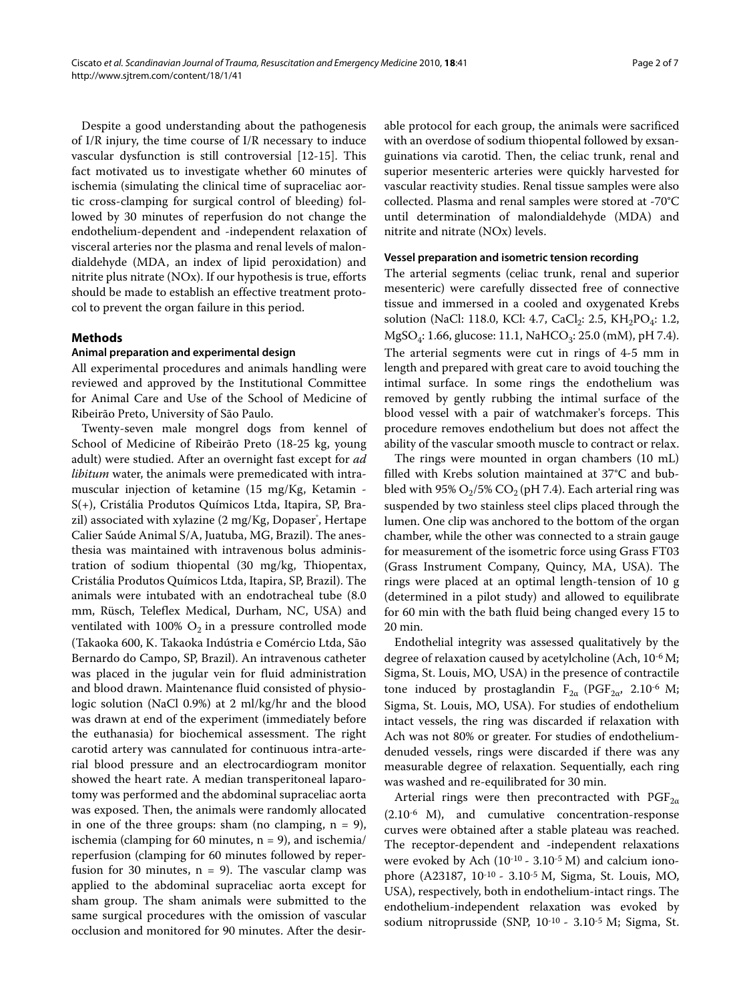Despite a good understanding about the pathogenesis of I/R injury, the time course of I/R necessary to induce vascular dysfunction is still controversial [[12](#page-6-10)[-15](#page-6-11)]. This fact motivated us to investigate whether 60 minutes of ischemia (simulating the clinical time of supraceliac aortic cross-clamping for surgical control of bleeding) followed by 30 minutes of reperfusion do not change the endothelium-dependent and -independent relaxation of visceral arteries nor the plasma and renal levels of malondialdehyde (MDA, an index of lipid peroxidation) and nitrite plus nitrate (NOx). If our hypothesis is true, efforts should be made to establish an effective treatment protocol to prevent the organ failure in this period.

#### **Methods**

## **Animal preparation and experimental design**

All experimental procedures and animals handling were reviewed and approved by the Institutional Committee for Animal Care and Use of the School of Medicine of Ribeirão Preto, University of São Paulo.

Twenty-seven male mongrel dogs from kennel of School of Medicine of Ribeirão Preto (18-25 kg, young adult) were studied. After an overnight fast except for ad libitum water, the animals were premedicated with intramuscular injection of ketamine (15 mg/Kg, Ketamin - S(+), Cristália Produtos Químicos Ltda, Itapira, SP, Brazil) associated with xylazine (2 mg/Kg, Dopaser˚, Hertape Calier Saúde Animal S/A, Juatuba, MG, Brazil). The anesthesia was maintained with intravenous bolus administration of sodium thiopental (30 mg/kg, Thiopentax, Cristália Produtos Químicos Ltda, Itapira, SP, Brazil). The animals were intubated with an endotracheal tube (8.0 mm, Rüsch, Teleflex Medical, Durham, NC, USA) and ventilated with 100%  $O_2$  in a pressure controlled mode (Takaoka 600, K. Takaoka Indústria e Comércio Ltda, São Bernardo do Campo, SP, Brazil). An intravenous catheter was placed in the jugular vein for fluid administration and blood drawn. Maintenance fluid consisted of physiologic solution (NaCl 0.9%) at 2 ml/kg/hr and the blood was drawn at end of the experiment (immediately before the euthanasia) for biochemical assessment. The right carotid artery was cannulated for continuous intra-arterial blood pressure and an electrocardiogram monitor showed the heart rate. A median transperitoneal laparotomy was performed and the abdominal supraceliac aorta was exposed. Then, the animals were randomly allocated in one of the three groups: sham (no clamping,  $n = 9$ ), ischemia (clamping for 60 minutes,  $n = 9$ ), and ischemia/ reperfusion (clamping for 60 minutes followed by reperfusion for 30 minutes,  $n = 9$ ). The vascular clamp was applied to the abdominal supraceliac aorta except for sham group. The sham animals were submitted to the same surgical procedures with the omission of vascular occlusion and monitored for 90 minutes. After the desir-

able protocol for each group, the animals were sacrificed with an overdose of sodium thiopental followed by exsanguinations via carotid. Then, the celiac trunk, renal and superior mesenteric arteries were quickly harvested for vascular reactivity studies. Renal tissue samples were also collected. Plasma and renal samples were stored at -70°C until determination of malondialdehyde (MDA) and nitrite and nitrate (NOx) levels.

## **Vessel preparation and isometric tension recording**

The arterial segments (celiac trunk, renal and superior mesenteric) were carefully dissected free of connective tissue and immersed in a cooled and oxygenated Krebs solution (NaCl: 118.0, KCl: 4.7, CaCl<sub>2</sub>: 2.5, KH<sub>2</sub>PO<sub>4</sub>: 1.2, MgSO<sub>4</sub>: 1.66, glucose: 11.1, NaHCO<sub>3</sub>: 25.0 (mM), pH 7.4). The arterial segments were cut in rings of 4-5 mm in length and prepared with great care to avoid touching the intimal surface. In some rings the endothelium was removed by gently rubbing the intimal surface of the blood vessel with a pair of watchmaker's forceps. This procedure removes endothelium but does not affect the ability of the vascular smooth muscle to contract or relax.

The rings were mounted in organ chambers (10 mL) filled with Krebs solution maintained at 37°C and bubbled with 95%  $O_2/5\%$  CO<sub>2</sub> (pH 7.4). Each arterial ring was suspended by two stainless steel clips placed through the lumen. One clip was anchored to the bottom of the organ chamber, while the other was connected to a strain gauge for measurement of the isometric force using Grass FT03 (Grass Instrument Company, Quincy, MA, USA). The rings were placed at an optimal length-tension of 10 g (determined in a pilot study) and allowed to equilibrate for 60 min with the bath fluid being changed every 15 to 20 min.

Endothelial integrity was assessed qualitatively by the degree of relaxation caused by acetylcholine (Ach, 10-6 M; Sigma, St. Louis, MO, USA) in the presence of contractile tone induced by prostaglandin  $F_{2\alpha}$  (PGF<sub>2α</sub>, 2.10<sup>-6</sup> M; Sigma, St. Louis, MO, USA). For studies of endothelium intact vessels, the ring was discarded if relaxation with Ach was not 80% or greater. For studies of endotheliumdenuded vessels, rings were discarded if there was any measurable degree of relaxation. Sequentially, each ring was washed and re-equilibrated for 30 min.

Arterial rings were then precontracted with PGF<sub>2 $\alpha$ </sub> (2.10-6 M), and cumulative concentration-response curves were obtained after a stable plateau was reached. The receptor-dependent and -independent relaxations were evoked by Ach  $(10^{-10} - 3.10^{-5} \text{ M})$  and calcium ionophore (A23187, 10-10 - 3.10-5 M, Sigma, St. Louis, MO, USA), respectively, both in endothelium-intact rings. The endothelium-independent relaxation was evoked by sodium nitroprusside (SNP, 10-10 - 3.10-5 M; Sigma, St.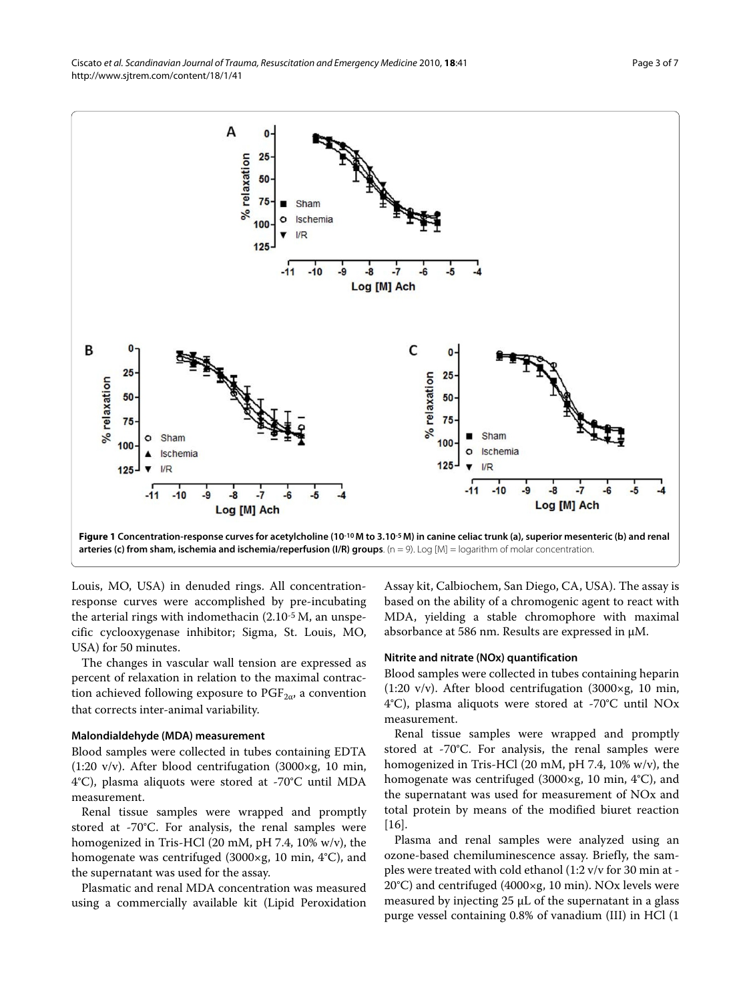<span id="page-2-0"></span>

Louis, MO, USA) in denuded rings. All concentrationresponse curves were accomplished by pre-incubating the arterial rings with indomethacin (2.10-5 M, an unspecific cyclooxygenase inhibitor; Sigma, St. Louis, MO, USA) for 50 minutes.

The changes in vascular wall tension are expressed as percent of relaxation in relation to the maximal contraction achieved following exposure to  $PGF_{2\alpha}$ , a convention that corrects inter-animal variability.

#### **Malondialdehyde (MDA) measurement**

Blood samples were collected in tubes containing EDTA (1:20 v/v). After blood centrifugation (3000×g, 10 min, 4°C), plasma aliquots were stored at -70°C until MDA measurement.

Renal tissue samples were wrapped and promptly stored at -70°C. For analysis, the renal samples were homogenized in Tris-HCl (20 mM, pH 7.4, 10% w/v), the homogenate was centrifuged (3000×g, 10 min, 4°C), and the supernatant was used for the assay.

Plasmatic and renal MDA concentration was measured using a commercially available kit (Lipid Peroxidation

Assay kit, Calbiochem, San Diego, CA, USA). The assay is based on the ability of a chromogenic agent to react with MDA, yielding a stable chromophore with maximal absorbance at 586 nm. Results are expressed in μM.

#### **Nitrite and nitrate (NOx) quantification**

Blood samples were collected in tubes containing heparin (1:20 v/v). After blood centrifugation (3000×g, 10 min, 4°C), plasma aliquots were stored at -70°C until NOx measurement.

Renal tissue samples were wrapped and promptly stored at -70°C. For analysis, the renal samples were homogenized in Tris-HCl (20 mM, pH 7.4, 10% w/v), the homogenate was centrifuged (3000×g, 10 min, 4°C), and the supernatant was used for measurement of NOx and total protein by means of the modified biuret reaction [[16\]](#page-6-12).

Plasma and renal samples were analyzed using an ozone-based chemiluminescence assay. Briefly, the samples were treated with cold ethanol (1:2 v/v for 30 min at - 20°C) and centrifuged (4000×g, 10 min). NOx levels were measured by injecting 25 μL of the supernatant in a glass purge vessel containing 0.8% of vanadium (III) in HCl (1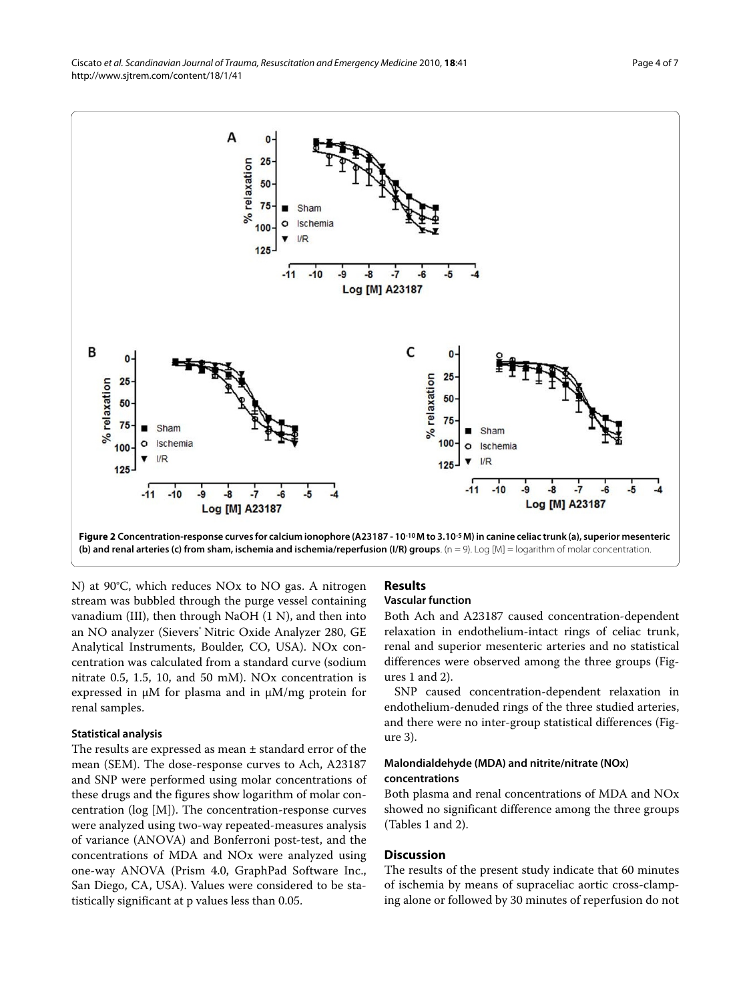<span id="page-3-0"></span>

N) at 90°C, which reduces NOx to NO gas. A nitrogen stream was bubbled through the purge vessel containing vanadium (III), then through NaOH (1 N), and then into an NO analyzer (Sievers<sup>®</sup> Nitric Oxide Analyzer 280, GE Analytical Instruments, Boulder, CO, USA). NOx concentration was calculated from a standard curve (sodium nitrate 0.5, 1.5, 10, and 50 mM). NOx concentration is expressed in μM for plasma and in μM/mg protein for renal samples.

#### **Statistical analysis**

The results are expressed as mean ± standard error of the mean (SEM). The dose-response curves to Ach, A23187 and SNP were performed using molar concentrations of these drugs and the figures show logarithm of molar concentration (log [M]). The concentration-response curves were analyzed using two-way repeated-measures analysis of variance (ANOVA) and Bonferroni post-test, and the concentrations of MDA and NOx were analyzed using one-way ANOVA (Prism 4.0, GraphPad Software Inc., San Diego, CA, USA). Values were considered to be statistically significant at p values less than 0.05.

# **Results**

## **Vascular function**

Both Ach and A23187 caused concentration-dependent relaxation in endothelium-intact rings of celiac trunk, renal and superior mesenteric arteries and no statistical differences were observed among the three groups (Figures [1](#page-2-0) and [2\)](#page-3-0).

SNP caused concentration-dependent relaxation in endothelium-denuded rings of the three studied arteries, and there were no inter-group statistical differences (Figure [3](#page-4-0)).

## **Malondialdehyde (MDA) and nitrite/nitrate (NOx) concentrations**

Both plasma and renal concentrations of MDA and NOx showed no significant difference among the three groups (Tables [1](#page-4-1) and 2).

#### **Discussion**

The results of the present study indicate that 60 minutes of ischemia by means of supraceliac aortic cross-clamping alone or followed by 30 minutes of reperfusion do not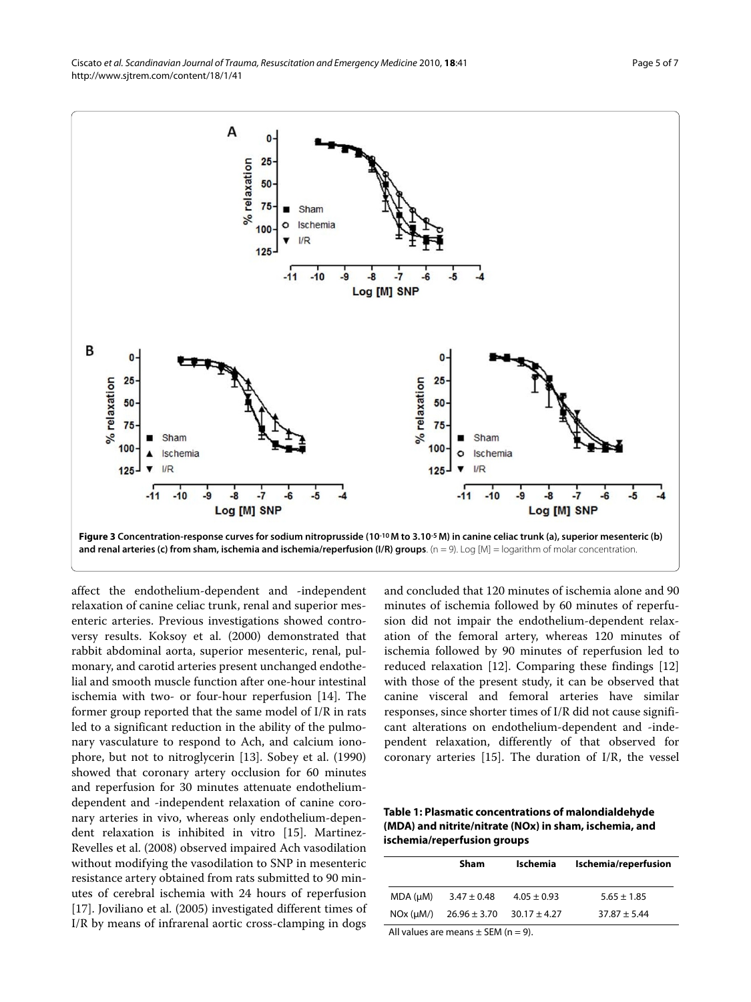<span id="page-4-0"></span>

affect the endothelium-dependent and -independent relaxation of canine celiac trunk, renal and superior mesenteric arteries. Previous investigations showed controversy results. Koksoy et al. (2000) demonstrated that rabbit abdominal aorta, superior mesenteric, renal, pulmonary, and carotid arteries present unchanged endothelial and smooth muscle function after one-hour intestinal ischemia with two- or four-hour reperfusion [[14\]](#page-6-13). The former group reported that the same model of I/R in rats led to a significant reduction in the ability of the pulmonary vasculature to respond to Ach, and calcium ionophore, but not to nitroglycerin [\[13\]](#page-6-14). Sobey et al. (1990) showed that coronary artery occlusion for 60 minutes and reperfusion for 30 minutes attenuate endotheliumdependent and -independent relaxation of canine coronary arteries in vivo, whereas only endothelium-dependent relaxation is inhibited in vitro [[15\]](#page-6-11). Martinez-Revelles et al. (2008) observed impaired Ach vasodilation without modifying the vasodilation to SNP in mesenteric resistance artery obtained from rats submitted to 90 minutes of cerebral ischemia with 24 hours of reperfusion [[17\]](#page-6-15). Joviliano et al. (2005) investigated different times of I/R by means of infrarenal aortic cross-clamping in dogs and concluded that 120 minutes of ischemia alone and 90 minutes of ischemia followed by 60 minutes of reperfusion did not impair the endothelium-dependent relaxation of the femoral artery, whereas 120 minutes of ischemia followed by 90 minutes of reperfusion led to reduced relaxation [\[12\]](#page-6-10). Comparing these findings [[12](#page-6-10)] with those of the present study, it can be observed that canine visceral and femoral arteries have similar responses, since shorter times of I/R did not cause significant alterations on endothelium-dependent and -independent relaxation, differently of that observed for coronary arteries [\[15](#page-6-11)]. The duration of I/R, the vessel

<span id="page-4-1"></span>**Table 1: Plasmatic concentrations of malondialdehyde (MDA) and nitrite/nitrate (NOx) in sham, ischemia, and ischemia/reperfusion groups**

|          | <b>Sham</b>      | Ischemia         | Ischemia/reperfusion |
|----------|------------------|------------------|----------------------|
| MDA (µM) | $3.47 \pm 0.48$  | $4.05 \pm 0.93$  | $5.65 \pm 1.85$      |
| NOx (µM) | $26.96 \pm 3.70$ | $30.17 \pm 4.27$ | $37.87 \pm 5.44$     |
|          |                  |                  |                      |

All values are means  $\pm$  SEM (n = 9).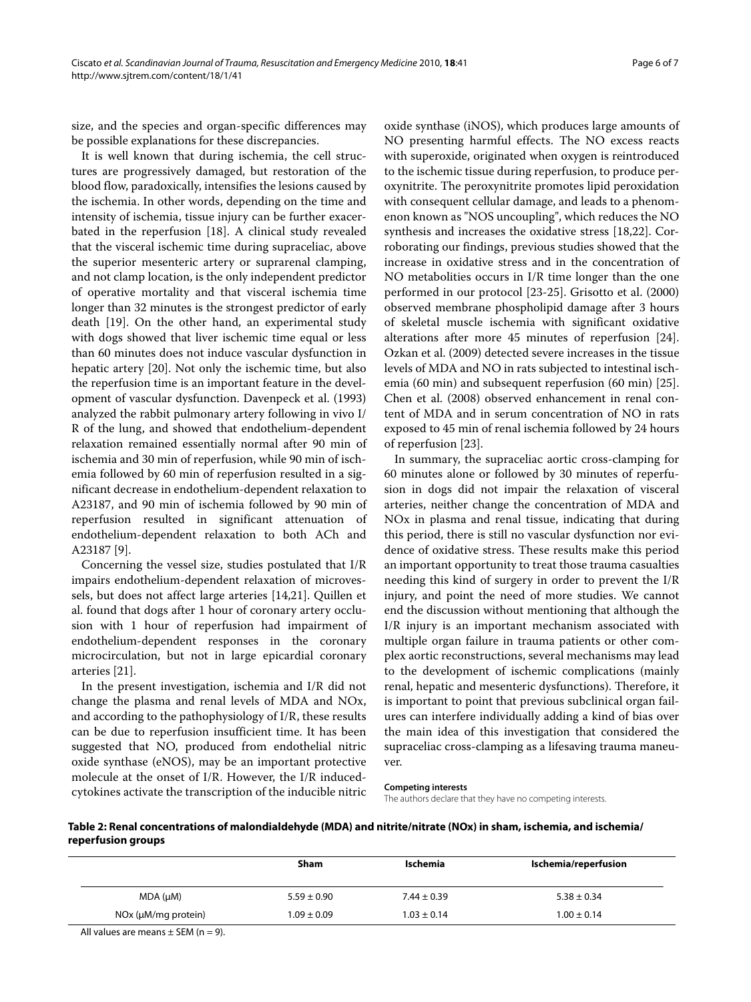Page 6 of 7

size, and the species and organ-specific differences may be possible explanations for these discrepancies.

It is well known that during ischemia, the cell structures are progressively damaged, but restoration of the blood flow, paradoxically, intensifies the lesions caused by the ischemia. In other words, depending on the time and intensity of ischemia, tissue injury can be further exacerbated in the reperfusion [[18\]](#page-6-16). A clinical study revealed that the visceral ischemic time during supraceliac, above the superior mesenteric artery or suprarenal clamping, and not clamp location, is the only independent predictor of operative mortality and that visceral ischemia time longer than 32 minutes is the strongest predictor of early death [\[19\]](#page-6-17). On the other hand, an experimental study with dogs showed that liver ischemic time equal or less than 60 minutes does not induce vascular dysfunction in hepatic artery [\[20](#page-6-18)]. Not only the ischemic time, but also the reperfusion time is an important feature in the development of vascular dysfunction. Davenpeck et al. (1993) analyzed the rabbit pulmonary artery following in vivo I/ R of the lung, and showed that endothelium-dependent relaxation remained essentially normal after 90 min of ischemia and 30 min of reperfusion, while 90 min of ischemia followed by 60 min of reperfusion resulted in a significant decrease in endothelium-dependent relaxation to A23187, and 90 min of ischemia followed by 90 min of reperfusion resulted in significant attenuation of endothelium-dependent relaxation to both ACh and A23187 [[9\]](#page-6-7).

Concerning the vessel size, studies postulated that I/R impairs endothelium-dependent relaxation of microvessels, but does not affect large arteries [\[14](#page-6-13),[21](#page-6-19)]. Quillen et al. found that dogs after 1 hour of coronary artery occlusion with 1 hour of reperfusion had impairment of endothelium-dependent responses in the coronary microcirculation, but not in large epicardial coronary arteries [[21\]](#page-6-19).

In the present investigation, ischemia and I/R did not change the plasma and renal levels of MDA and NOx, and according to the pathophysiology of I/R, these results can be due to reperfusion insufficient time. It has been suggested that NO, produced from endothelial nitric oxide synthase (eNOS), may be an important protective molecule at the onset of I/R. However, the I/R inducedcytokines activate the transcription of the inducible nitric

oxide synthase (iNOS), which produces large amounts of NO presenting harmful effects. The NO excess reacts with superoxide, originated when oxygen is reintroduced to the ischemic tissue during reperfusion, to produce peroxynitrite. The peroxynitrite promotes lipid peroxidation with consequent cellular damage, and leads to a phenomenon known as "NOS uncoupling", which reduces the NO synthesis and increases the oxidative stress [\[18](#page-6-16)[,22](#page-6-20)]. Corroborating our findings, previous studies showed that the increase in oxidative stress and in the concentration of NO metabolities occurs in I/R time longer than the one performed in our protocol [\[23](#page-6-21)-[25\]](#page-6-22). Grisotto et al. (2000) observed membrane phospholipid damage after 3 hours of skeletal muscle ischemia with significant oxidative alterations after more 45 minutes of reperfusion [\[24](#page-6-23)]. Ozkan et al. (2009) detected severe increases in the tissue levels of MDA and NO in rats subjected to intestinal ischemia (60 min) and subsequent reperfusion (60 min) [\[25](#page-6-22)]. Chen et al. (2008) observed enhancement in renal content of MDA and in serum concentration of NO in rats exposed to 45 min of renal ischemia followed by 24 hours of reperfusion [[23\]](#page-6-21).

In summary, the supraceliac aortic cross-clamping for 60 minutes alone or followed by 30 minutes of reperfusion in dogs did not impair the relaxation of visceral arteries, neither change the concentration of MDA and NOx in plasma and renal tissue, indicating that during this period, there is still no vascular dysfunction nor evidence of oxidative stress. These results make this period an important opportunity to treat those trauma casualties needing this kind of surgery in order to prevent the I/R injury, and point the need of more studies. We cannot end the discussion without mentioning that although the I/R injury is an important mechanism associated with multiple organ failure in trauma patients or other complex aortic reconstructions, several mechanisms may lead to the development of ischemic complications (mainly renal, hepatic and mesenteric dysfunctions). Therefore, it is important to point that previous subclinical organ failures can interfere individually adding a kind of bias over the main idea of this investigation that considered the supraceliac cross-clamping as a lifesaving trauma maneuver.

#### **Competing interests**

The authors declare that they have no competing interests.

**Table 2: Renal concentrations of malondialdehyde (MDA) and nitrite/nitrate (NOx) in sham, ischemia, and ischemia/ reperfusion groups**

|                                                                             | <b>Sham</b>     | Ischemia        | Ischemia/reperfusion |
|-----------------------------------------------------------------------------|-----------------|-----------------|----------------------|
| MDA (µM)                                                                    | $5.59 \pm 0.90$ | $7.44 \pm 0.39$ | $5.38 \pm 0.34$      |
| NOx (µM/mq protein)                                                         | $1.09 \pm 0.09$ | $1.03 \pm 0.14$ | $1.00 \pm 0.14$      |
| $\mathbf{A} \mathbf{B}$ . $\mathbf{A} \mathbf{B}$ . $\mathbf{A} \mathbf{C}$ |                 |                 |                      |

All values are means  $\pm$  SEM (n = 9).